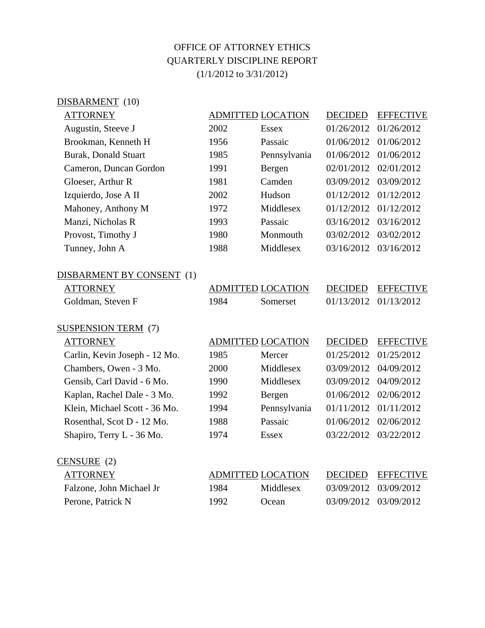## OFFICE OF ATTORNEY ETHICS QUARTERLY DISCIPLINE REPORT (1/1/2012 to 3/31/2012)

| DISBARMENT (10)               |                          |                          |                |                  |
|-------------------------------|--------------------------|--------------------------|----------------|------------------|
| <b>ATTORNEY</b>               | <b>ADMITTED LOCATION</b> |                          | <b>DECIDED</b> | <b>EFFECTIVE</b> |
| Augustin, Steeve J            | 2002                     | <b>Essex</b>             | 01/26/2012     | 01/26/2012       |
| Brookman, Kenneth H           | 1956                     | Passaic                  | 01/06/2012     | 01/06/2012       |
| <b>Burak, Donald Stuart</b>   | 1985                     | Pennsylvania             | 01/06/2012     | 01/06/2012       |
| Cameron, Duncan Gordon        | 1991                     | Bergen                   | 02/01/2012     | 02/01/2012       |
| Gloeser, Arthur R             | 1981                     | Camden                   | 03/09/2012     | 03/09/2012       |
| Izquierdo, Jose A II          | 2002                     | Hudson                   | 01/12/2012     | 01/12/2012       |
| Mahoney, Anthony M            | 1972                     | Middlesex                | 01/12/2012     | 01/12/2012       |
| Manzi, Nicholas R             | 1993                     | Passaic                  | 03/16/2012     | 03/16/2012       |
| Provost, Timothy J            | 1980                     | Monmouth                 | 03/02/2012     | 03/02/2012       |
| Tunney, John A                | 1988                     | Middlesex                | 03/16/2012     | 03/16/2012       |
| DISBARMENT BY CONSENT (1)     |                          |                          |                |                  |
| <b>ATTORNEY</b>               |                          | <b>ADMITTED LOCATION</b> | <b>DECIDED</b> | <b>EFFECTIVE</b> |
| Goldman, Steven F             | 1984                     | Somerset                 | 01/13/2012     | 01/13/2012       |
| <b>SUSPENSION TERM (7)</b>    |                          |                          |                |                  |
| <b>ATTORNEY</b>               |                          | <b>ADMITTED LOCATION</b> | <b>DECIDED</b> | <b>EFFECTIVE</b> |
| Carlin, Kevin Joseph - 12 Mo. | 1985                     | Mercer                   | 01/25/2012     | 01/25/2012       |
| Chambers, Owen - 3 Mo.        | 2000                     | Middlesex                | 03/09/2012     | 04/09/2012       |
| Gensib, Carl David - 6 Mo.    | 1990                     | Middlesex                | 03/09/2012     | 04/09/2012       |
| Kaplan, Rachel Dale - 3 Mo.   | 1992                     | Bergen                   | 01/06/2012     | 02/06/2012       |
| Klein, Michael Scott - 36 Mo. | 1994                     | Pennsylvania             | 01/11/2012     | 01/11/2012       |
| Rosenthal, Scot D - 12 Mo.    | 1988                     | Passaic                  | 01/06/2012     | 02/06/2012       |
| Shapiro, Terry L - 36 Mo.     | 1974                     | <b>Essex</b>             | 03/22/2012     | 03/22/2012       |
| CENSURE (2)                   |                          |                          |                |                  |
| <b>ATTORNEY</b>               |                          | <b>ADMITTED LOCATION</b> | <b>DECIDED</b> | <b>EFFECTIVE</b> |
| Falzone, John Michael Jr      | 1984                     | Middlesex                | 03/09/2012     | 03/09/2012       |
| Perone, Patrick N             | 1992                     | Ocean                    | 03/09/2012     | 03/09/2012       |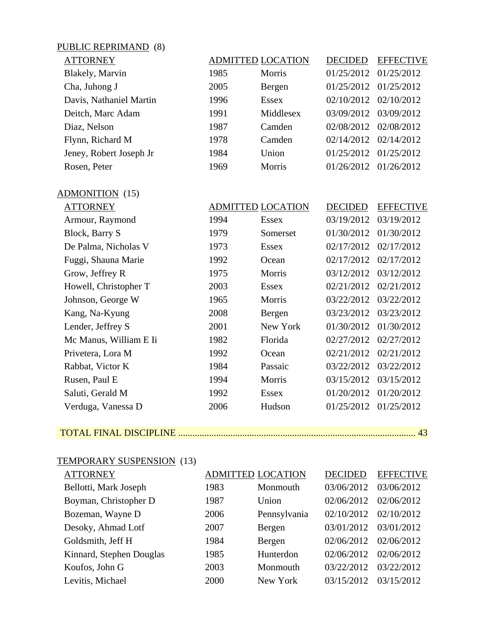## PUBLIC REPRIMAND (8)

ADMONITION (15)

| <b>ATTORNEY</b>         |      | <b>ADMITTED LOCATION</b> | <b>DECIDED</b> | <b>EFFECTIVE</b> |
|-------------------------|------|--------------------------|----------------|------------------|
| Blakely, Marvin         | 1985 | <b>Morris</b>            | 01/25/2012     | 01/25/2012       |
| Cha, Juhong J           | 2005 | Bergen                   | 01/25/2012     | 01/25/2012       |
| Davis, Nathaniel Martin | 1996 | <b>Essex</b>             | 02/10/2012     | 02/10/2012       |
| Deitch, Marc Adam       | 1991 | Middlesex                | 03/09/2012     | 03/09/2012       |
| Diaz, Nelson            | 1987 | Camden                   | 02/08/2012     | 02/08/2012       |
| Flynn, Richard M        | 1978 | Camden                   | 02/14/2012     | 02/14/2012       |
| Jeney, Robert Joseph Jr | 1984 | Union                    | 01/25/2012     | 01/25/2012       |
| Rosen, Peter            | 1969 | Morris                   | 01/26/2012     | 01/26/2012       |
|                         |      |                          |                |                  |

| <b>ATTORNEY</b>        |      | <b>ADMITTED LOCATION</b> | <b>DECIDED</b> | <b>EFFECTIVE</b> |
|------------------------|------|--------------------------|----------------|------------------|
| Armour, Raymond        | 1994 | <b>Essex</b>             | 03/19/2012     | 03/19/2012       |
| Block, Barry S         | 1979 | Somerset                 | 01/30/2012     | 01/30/2012       |
| De Palma, Nicholas V   | 1973 | <b>Essex</b>             | 02/17/2012     | 02/17/2012       |
| Fuggi, Shauna Marie    | 1992 | Ocean                    | 02/17/2012     | 02/17/2012       |
| Grow, Jeffrey R        | 1975 | Morris                   | 03/12/2012     | 03/12/2012       |
| Howell, Christopher T  | 2003 | <b>Essex</b>             | 02/21/2012     | 02/21/2012       |
| Johnson, George W      | 1965 | Morris                   | 03/22/2012     | 03/22/2012       |
| Kang, Na-Kyung         | 2008 | Bergen                   | 03/23/2012     | 03/23/2012       |
| Lender, Jeffrey S      | 2001 | New York                 | 01/30/2012     | 01/30/2012       |
| Mc Manus, William E Ii | 1982 | Florida                  | 02/27/2012     | 02/27/2012       |
| Privetera, Lora M      | 1992 | Ocean                    | 02/21/2012     | 02/21/2012       |
| Rabbat, Victor K       | 1984 | Passaic                  | 03/22/2012     | 03/22/2012       |
| Rusen, Paul E          | 1994 | Morris                   | 03/15/2012     | 03/15/2012       |
| Saluti, Gerald M       | 1992 | Essex                    | 01/20/2012     | 01/20/2012       |
| Verduga, Vanessa D     | 2006 | Hudson                   | 01/25/2012     | 01/25/2012       |

## TOTAL FINAL DISCIPLINE .................................................................................................... 43

## TEMPORARY SUSPENSION (13)

| <b>ATTORNEY</b>          |      | <b>ADMITTED LOCATION</b> | <b>DECIDED</b> | <b>EFFECTIVE</b> |
|--------------------------|------|--------------------------|----------------|------------------|
| Bellotti, Mark Joseph    | 1983 | Monmouth                 | 03/06/2012     | 03/06/2012       |
| Boyman, Christopher D    | 1987 | Union                    | 02/06/2012     | 02/06/2012       |
| Bozeman, Wayne D         | 2006 | Pennsylvania             | 02/10/2012     | 02/10/2012       |
| Desoky, Ahmad Lotf       | 2007 | Bergen                   | 03/01/2012     | 03/01/2012       |
| Goldsmith, Jeff H        | 1984 | Bergen                   | 02/06/2012     | 02/06/2012       |
| Kinnard, Stephen Douglas | 1985 | Hunterdon                | 02/06/2012     | 02/06/2012       |
| Koufos, John G           | 2003 | Monmouth                 | 03/22/2012     | 03/22/2012       |
| Levitis, Michael         | 2000 | New York                 | 03/15/2012     | 03/15/2012       |